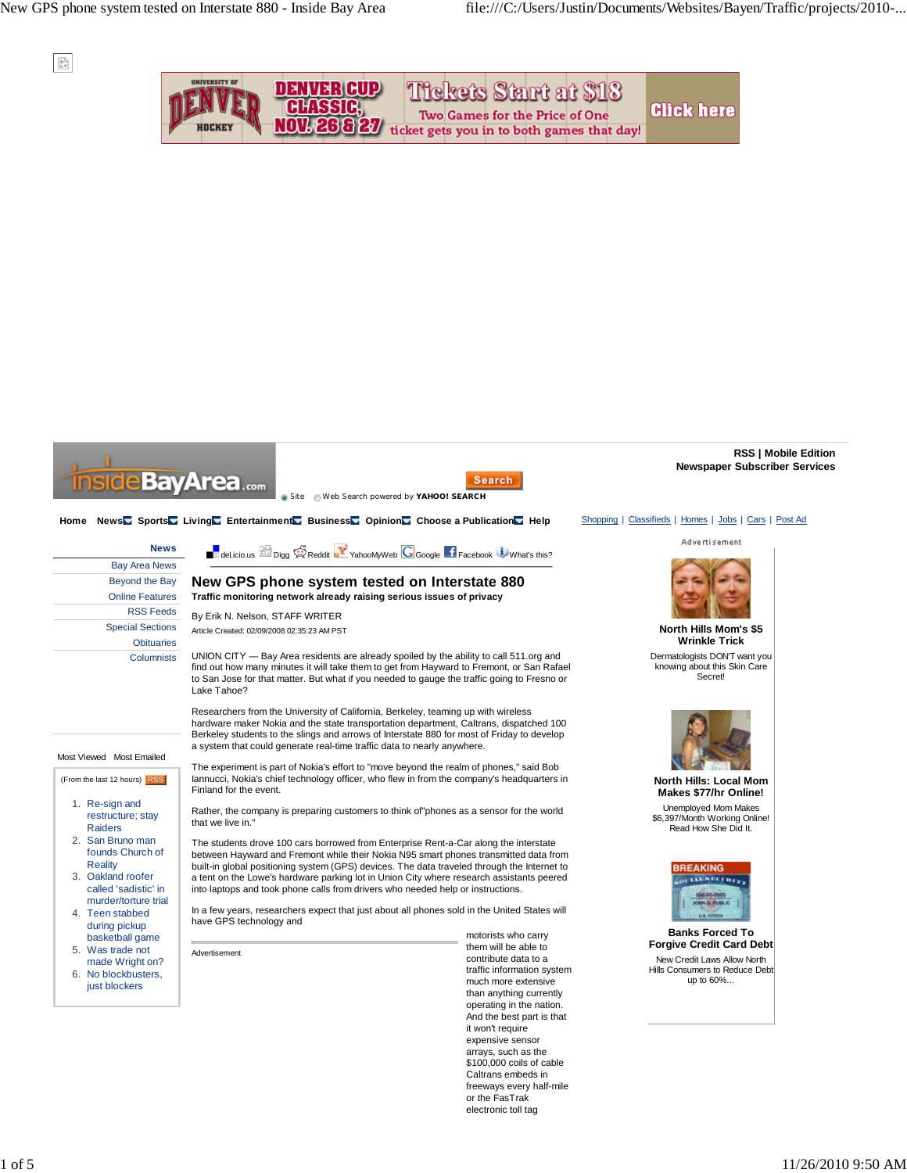$\frac{p}{\alpha}$ 



\$100,000 coils of cable Caltrans embeds in freeways every half-mile or the FasTrak electronic toll tag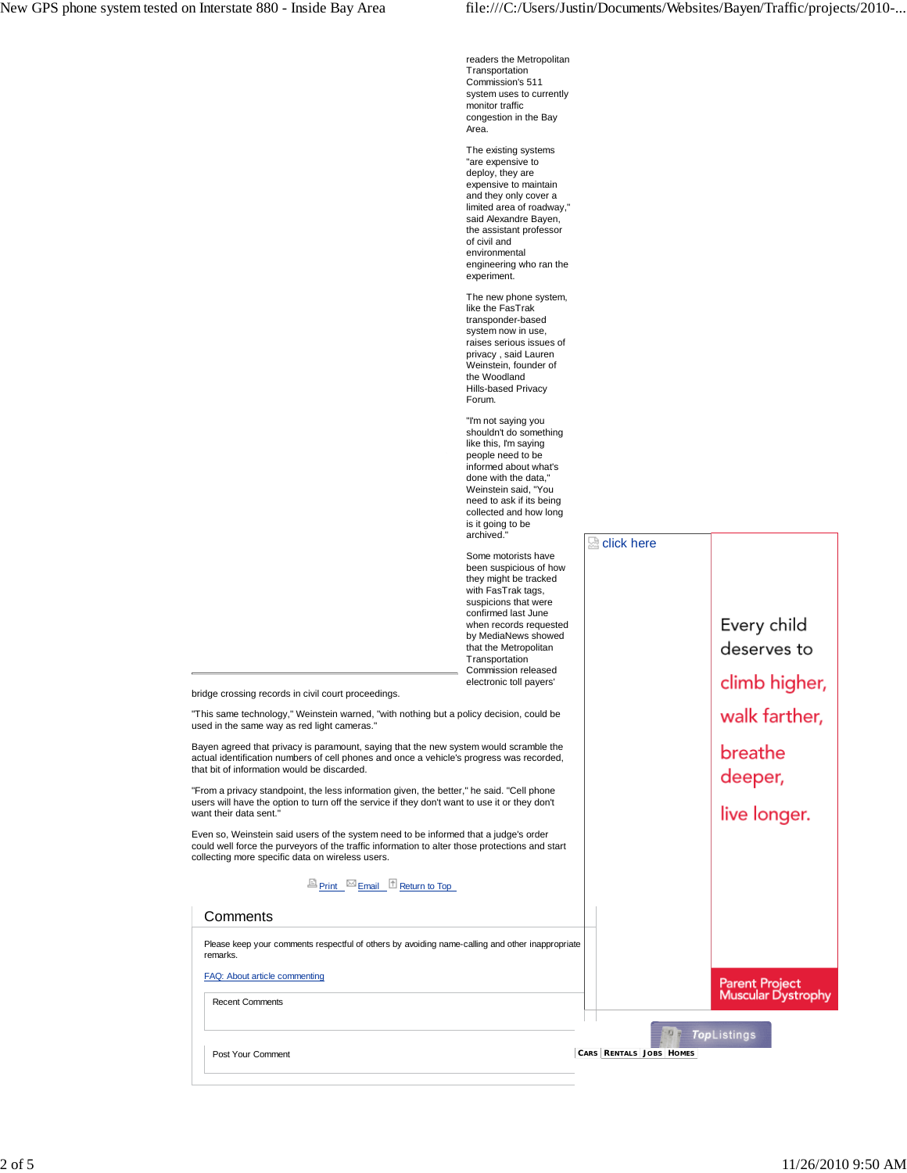readers the Metropolitan Transportation Commission's 511 system uses to currently monitor traffic congestion in the Bay Area. The existing systems "are expensive to deploy, they are expensive to maintain and they only cover a limited area of roadway," said Alexandre Bayen, the assistant professor of civil and environmental engineering who ran the experiment. The new phone system, like the FasTrak transponder-based system now in use, raises serious issues of privacy , said Lauren Weinstein, founder of the Woodland Hills-based Privacy Forum. "I'm not saying you shouldn't do something like this, I'm saying people need to be informed about what's done with the data," Weinstein said, "You need to ask if its being collected and how long is it going to be archived." Some motorists have click here

been suspicious of how they might be tracked with FasTrak tags, suspicions that were confirmed last June when records requested by MediaNews showed that the Metropolitan **Transportation** Commission released electronic toll payers'

bridge crossing records in civil court proceedings.

"This same technology," Weinstein warned, "with nothing but a policy decision, could be

used in the same way as red light cameras. Bayen agreed that privacy is paramount, saying that the new system would scramble the

actual identification numbers of cell phones and once a vehicle's progress was recorded, that bit of information would be discarded. "From a privacy standpoint, the less information given, the better," he said. "Cell phone users will have the option to turn off the service if they don't want to use it or they don't

Even so, Weinstein said users of the system need to be informed that a judge's order could well force the purveyors of the traffic information to alter those protections and start collecting more specific data on wireless users.

## **Print** Email **Return to Top**

| Comments                                                                                                    |  |
|-------------------------------------------------------------------------------------------------------------|--|
| Please keep your comments respectful of others by avoiding name-calling and other inappropriate<br>remarks. |  |
| FAQ: About article commenting                                                                               |  |

Recent Comments

want their data sent.

Post Your Comment

 **CARS RENTALS JOBS HOMES**

Đ

Every child deserves to

climb higher,

walk farther,

live longer.

Parent Project<br>Muscular Dystrophy

TopListings

breathe deeper,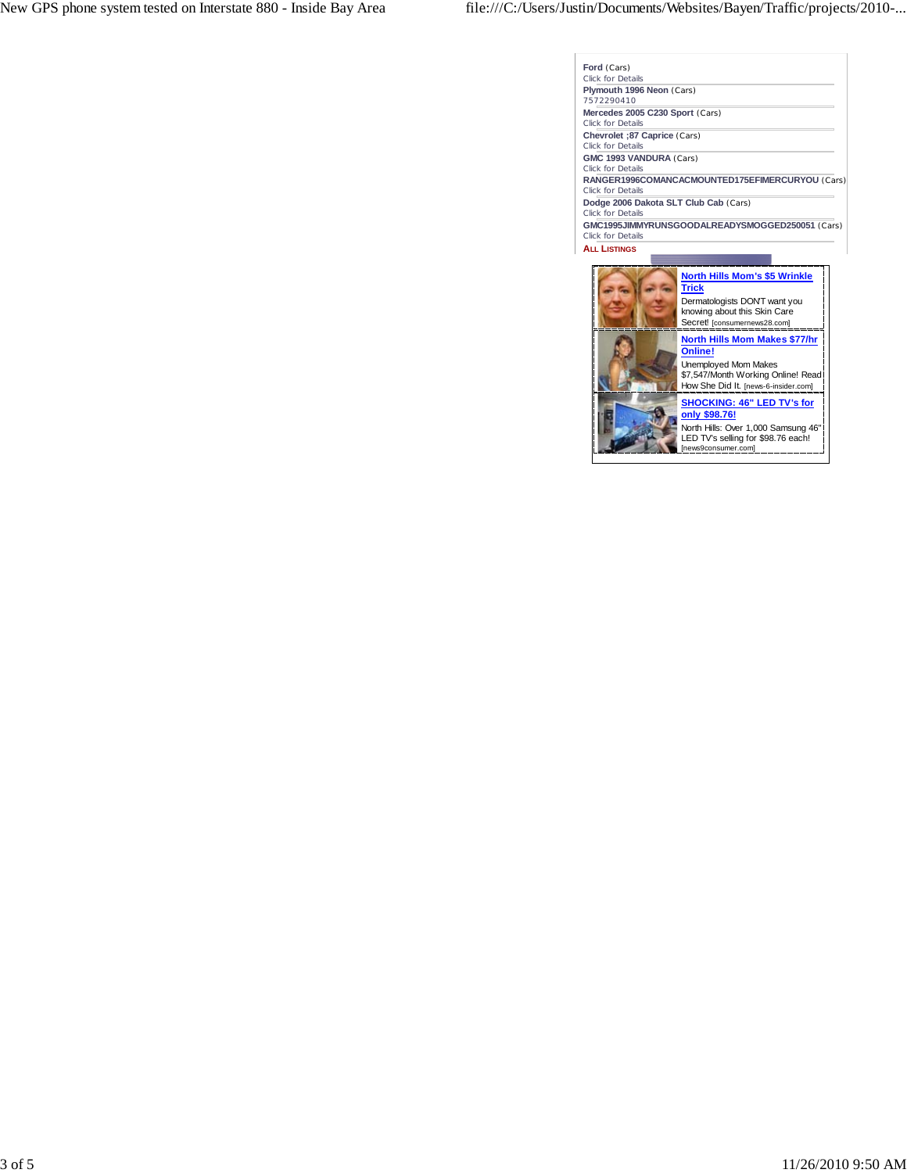| Ford (Cars)                                     |
|-------------------------------------------------|
| <b>Click for Details</b>                        |
| Plymouth 1996 Neon (Cars)                       |
| 7572290410                                      |
| Mercedes 2005 C230 Sport (Cars)                 |
| Click for Details                               |
| Chevrolet : 87 Caprice (Cars)                   |
| <b>Click for Details</b>                        |
| GMC 1993 VANDURA (Cars)                         |
| <b>Click for Details</b>                        |
| RANGER1996COMANCACMOUNTED175EFIMERCURYOU (Cars) |
| Click for Details                               |
| Dodge 2006 Dakota SLT Club Cab (Cars)           |
| <b>Click for Details</b>                        |
| GMC1995JIMMYRUNSGOODALREADYSMOGGED250051 (Cars) |
| <b>Click for Details</b>                        |
| <b>ALL LISTINGS</b>                             |

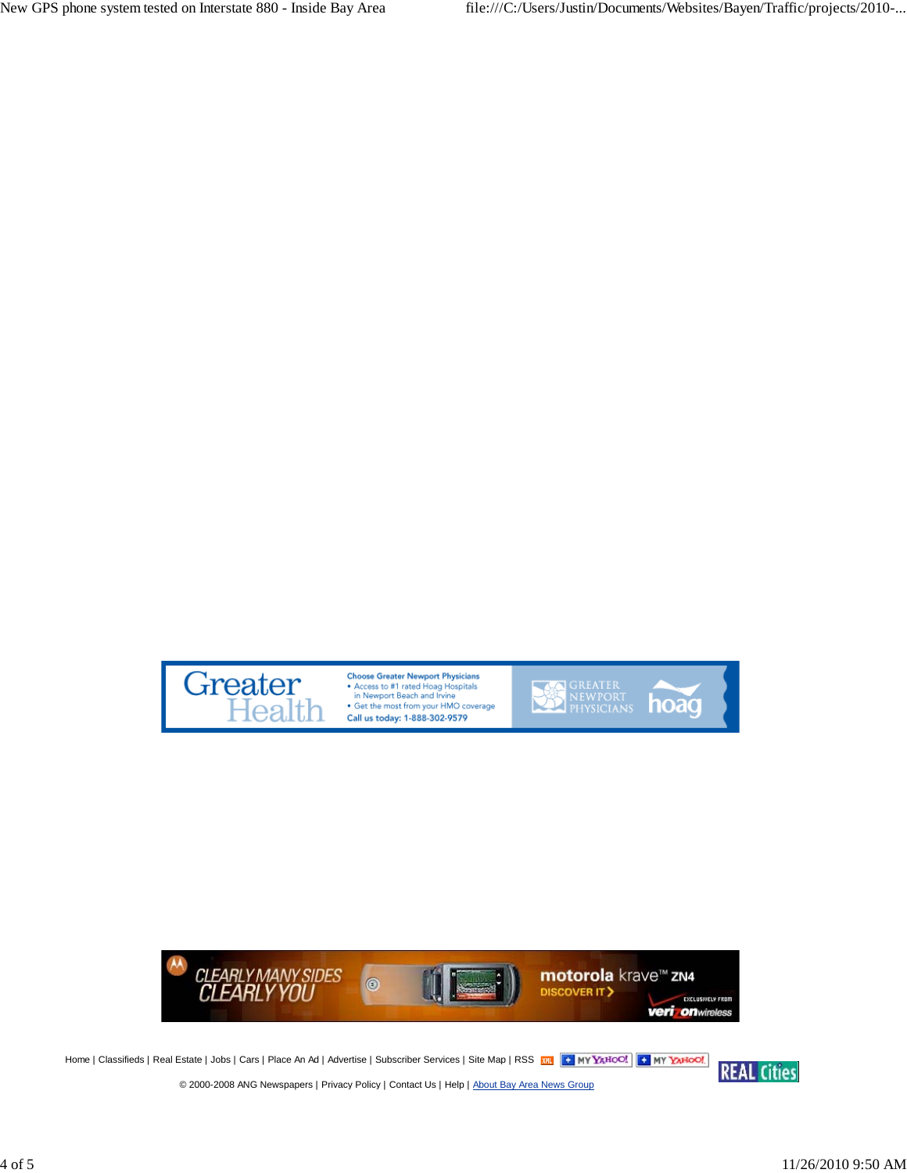

Choose Greater Newport Physicians<br>• Access to #1 rated Hoag Hospitals<br>• The most from your HMO coverage<br>• Get the most from your HMO coverage<br>CHL most from your HMO coverage Call us today: 1-888-302-9579





© 2000-2008 ANG Newspapers | Privacy Policy | Contact Us | Help | About Bay Area News Group